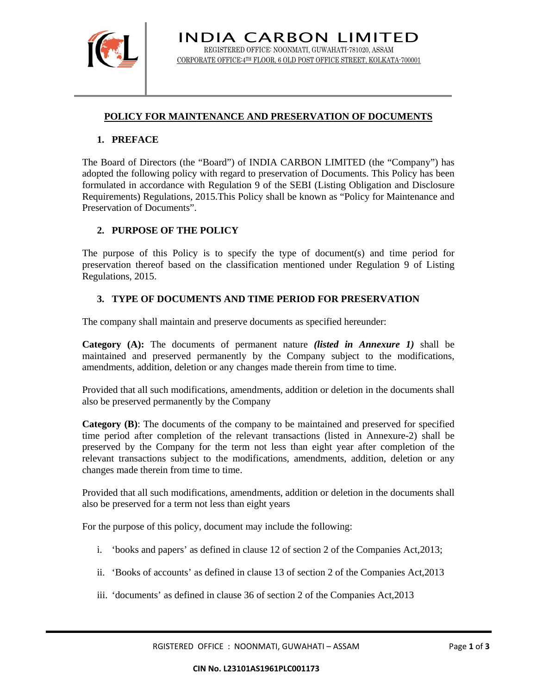

# **POLICY FOR MAINTENANCE AND PRESERVATION OF DOCUMENTS**

#### **1. PREFACE**

The Board of Directors (the "Board") of INDIA CARBON LIMITED (the "Company") has adopted the following policy with regard to preservation of Documents. This Policy has been formulated in accordance with Regulation 9 of the SEBI (Listing Obligation and Disclosure Requirements) Regulations, 2015.This Policy shall be known as "Policy for Maintenance and Preservation of Documents".

### **2. PURPOSE OF THE POLICY**

The purpose of this Policy is to specify the type of document(s) and time period for preservation thereof based on the classification mentioned under Regulation 9 of Listing Regulations, 2015.

### **3. TYPE OF DOCUMENTS AND TIME PERIOD FOR PRESERVATION**

The company shall maintain and preserve documents as specified hereunder:

**Category (A):** The documents of permanent nature *(listed in Annexure 1)* shall be maintained and preserved permanently by the Company subject to the modifications, amendments, addition, deletion or any changes made therein from time to time.

Provided that all such modifications, amendments, addition or deletion in the documents shall also be preserved permanently by the Company

**Category (B)**: The documents of the company to be maintained and preserved for specified time period after completion of the relevant transactions (listed in Annexure-2) shall be preserved by the Company for the term not less than eight year after completion of the relevant transactions subject to the modifications, amendments, addition, deletion or any changes made therein from time to time.

Provided that all such modifications, amendments, addition or deletion in the documents shall also be preserved for a term not less than eight years

For the purpose of this policy, document may include the following:

- i. 'books and papers' as defined in clause 12 of section 2 of the Companies Act,2013;
- ii. 'Books of accounts' as defined in clause 13 of section 2 of the Companies Act,2013
- iii. 'documents' as defined in clause 36 of section 2 of the Companies Act,2013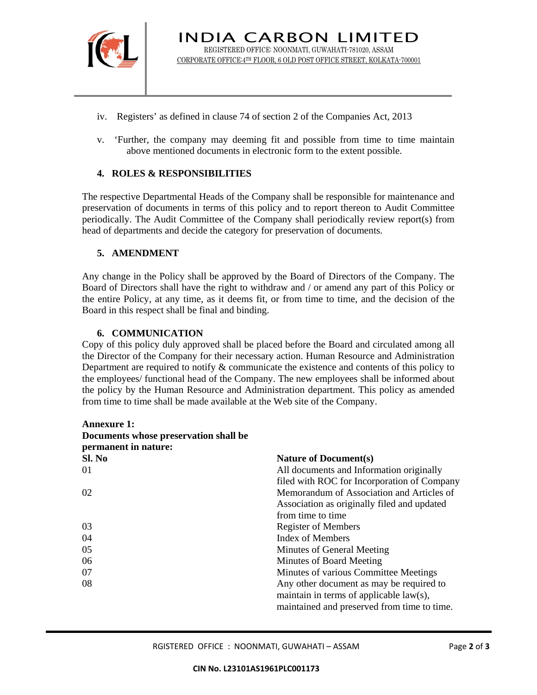

- iv. Registers' as defined in clause 74 of section 2 of the Companies Act, 2013
- v. 'Further, the company may deeming fit and possible from time to time maintain above mentioned documents in electronic form to the extent possible.

# **4. ROLES & RESPONSIBILITIES**

The respective Departmental Heads of the Company shall be responsible for maintenance and preservation of documents in terms of this policy and to report thereon to Audit Committee periodically. The Audit Committee of the Company shall periodically review report(s) from head of departments and decide the category for preservation of documents.

### **5. AMENDMENT**

Any change in the Policy shall be approved by the Board of Directors of the Company. The Board of Directors shall have the right to withdraw and / or amend any part of this Policy or the entire Policy, at any time, as it deems fit, or from time to time, and the decision of the Board in this respect shall be final and binding.

### **6. COMMUNICATION**

Copy of this policy duly approved shall be placed before the Board and circulated among all the Director of the Company for their necessary action. Human Resource and Administration Department are required to notify & communicate the existence and contents of this policy to the employees/ functional head of the Company. The new employees shall be informed about the policy by the Human Resource and Administration department. This policy as amended from time to time shall be made available at the Web site of the Company.

| <b>Annexure 1:</b>                    |                                             |
|---------------------------------------|---------------------------------------------|
| Documents whose preservation shall be |                                             |
| permanent in nature:                  |                                             |
| SL No                                 | <b>Nature of Document(s)</b>                |
| 01                                    | All documents and Information originally    |
|                                       | filed with ROC for Incorporation of Company |
| 02                                    | Memorandum of Association and Articles of   |
|                                       | Association as originally filed and updated |
|                                       | from time to time                           |
| 03                                    | <b>Register of Members</b>                  |
| 04                                    | <b>Index of Members</b>                     |
| 05                                    | Minutes of General Meeting                  |
| 06                                    | Minutes of Board Meeting                    |
| 07                                    | Minutes of various Committee Meetings       |
| 08                                    | Any other document as may be required to    |
|                                       | maintain in terms of applicable $law(s)$ ,  |
|                                       | maintained and preserved from time to time. |